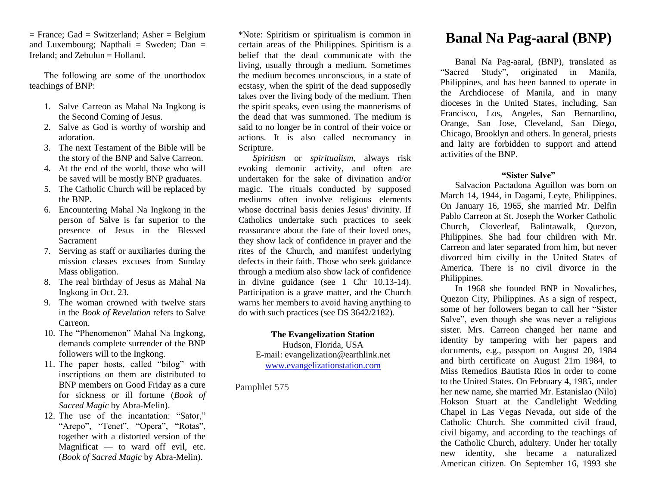$=$  France; Gad  $=$  Switzerland; Asher  $=$  Belgium and Luxembourg; Napthali = Sweden;  $Dan =$ Ireland; and Zebulun = Holland.

The following are some of the unorthodox teachings of BNP:

- 1. Salve Carreon as Mahal Na Ingkong is the Second Coming of Jesus.
- 2. Salve as God is worthy of worship and adoration.
- 3. The next Testament of the Bible will be the story of the BNP and Salve Carreon.
- 4. At the end of the world, those who will be saved will be mostly BNP graduates.
- 5. The Catholic Church will be replaced by the BNP.
- 6. Encountering Mahal Na Ingkong in the person of Salve is far superior to the presence of Jesus in the Blessed Sacrament
- 7. Serving as staff or auxiliaries during the mission classes excuses from Sunday Mass obligation.
- 8. The real birthday of Jesus as Mahal Na Ingkong in Oct. 23.
- 9. The woman crowned with twelve stars in the *Book of Revelation* refers to Salve Carreon.
- 10. The "Phenomenon" Mahal Na Ingkong, demands complete surrender of the BNP followers will to the Ingkong.
- 11. The paper hosts, called "bilog" with inscriptions on them are distributed to BNP members on Good Friday as a cure for sickness or ill fortune (*Book of Sacred Magic* by Abra-Melin).
- 12. The use of the incantation: "Sator," "Arepo", "Tenet", "Opera", "Rotas", together with a distorted version of the Magnificat — to ward off evil, etc. (*Book of Sacred Magic* by Abra-Melin).

\*Note: Spiritism or spiritualism is common in certain areas of the Philippines. Spiritism is a belief that the dead communicate with the living, usually through a medium. Sometimes the medium becomes unconscious, in a state of ecstasy, when the spirit of the dead supposedly takes over the living body of the medium. Then the spirit speaks, even using the mannerisms of the dead that was summoned. The medium is said to no longer be in control of their voice or actions. It is also called necromancy in Scripture.

*Spiritism* or *spiritualism,* always risk evoking demonic activity, and often are undertaken for the sake of divination and/or magic. The rituals conducted by supposed mediums often involve religious elements whose doctrinal basis denies Jesus' divinity. If Catholics undertake such practices to seek reassurance about the fate of their loved ones, they show lack of confidence in prayer and the rites of the Church, and manifest underlying defects in their faith. Those who seek guidance through a medium also show lack of confidence in divine guidance (see 1 Chr 10.13-14). Participation is a grave matter, and the Church warns her members to avoid having anything to do with such practices (see DS 3642/2182).

## **The Evangelization Station**

Hudson, Florida, USA E-mail: evangelization@earthlink.net [www.evangelizationstation.com](http://www.pjpiisoe.org/)

Pamphlet 575

# **Banal Na Pag-aaral (BNP)**

Banal Na Pag-aaral, (BNP), translated as "Sacred Study", originated in Manila, Philippines, and has been banned to operate in the Archdiocese of Manila, and in many dioceses in the United States, including, San Francisco, Los, Angeles, San Bernardino, Orange, San Jose, Cleveland, San Diego, Chicago, Brooklyn and others. In general, priests and laity are forbidden to support and attend activities of the BNP.

### **"Sister Salve"**

Salvacion Pactadona Aguillon was born on March 14, 1944, in Dagami, Leyte, Philippines. On January 16, 1965, she married Mr. Delfin Pablo Carreon at St. Joseph the Worker Catholic Church, Cloverleaf, Balintawalk, Quezon, Philippines. She had four children with Mr. Carreon and later separated from him, but never divorced him civilly in the United States of America. There is no civil divorce in the Philippines.

In 1968 she founded BNP in Novaliches, Quezon City, Philippines. As a sign of respect, some of her followers began to call her "Sister Salve", even though she was never a religious sister. Mrs. Carreon changed her name and identity by tampering with her papers and documents, e.g., passport on August 20, 1984 and birth certificate on August 21m 1984, to Miss Remedios Bautista Rios in order to come to the United States. On February 4, 1985, under her new name, she married Mr. Estanislao (Nilo) Hokson Stuart at the Candlelight Wedding Chapel in Las Vegas Nevada, out side of the Catholic Church. She committed civil fraud, civil bigamy, and according to the teachings of the Catholic Church, adultery. Under her totally new identity, she became a naturalized American citizen. On September 16, 1993 she